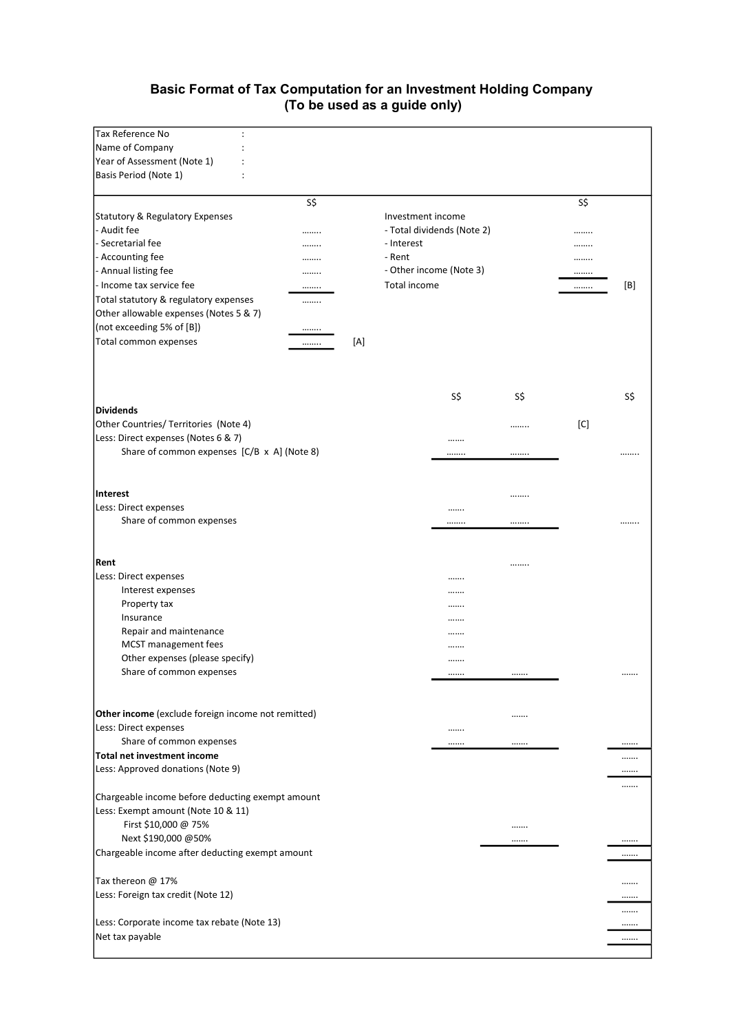# Basic Format of Tax Computation for an Investment Holding Company (To be used as a guide only)

| Tax Reference No                                   |     |                   |                            |     |     |     |
|----------------------------------------------------|-----|-------------------|----------------------------|-----|-----|-----|
| Name of Company                                    |     |                   |                            |     |     |     |
| Year of Assessment (Note 1)                        |     |                   |                            |     |     |     |
| Basis Period (Note 1)                              |     |                   |                            |     |     |     |
| S\$                                                |     |                   |                            |     | S\$ |     |
| Statutory & Regulatory Expenses                    |     | Investment income |                            |     |     |     |
| - Audit fee<br>                                    |     |                   | - Total dividends (Note 2) |     |     |     |
| - Secretarial fee<br>                              |     | - Interest        |                            |     |     |     |
| - Accounting fee<br>                               |     | - Rent            |                            |     |     |     |
| - Annual listing fee<br>                           |     |                   | - Other income (Note 3)    |     |     |     |
| - Income tax service fee<br>                       |     | Total income      |                            |     |     | [B] |
| Total statutory & regulatory expenses<br>          |     |                   |                            |     |     |     |
| Other allowable expenses (Notes 5 & 7)             |     |                   |                            |     |     |     |
| (not exceeding 5% of [B])<br>                      |     |                   |                            |     |     |     |
| Total common expenses<br>                          | [A] |                   |                            |     |     |     |
|                                                    |     |                   |                            |     |     |     |
|                                                    |     |                   |                            |     |     |     |
|                                                    |     |                   |                            |     |     |     |
|                                                    |     |                   | S\$                        | S\$ |     | S\$ |
| <b>Dividends</b>                                   |     |                   |                            |     |     |     |
| Other Countries/ Territories (Note 4)              |     |                   |                            |     | [C] |     |
| Less: Direct expenses (Notes 6 & 7)                |     |                   |                            |     |     |     |
| Share of common expenses [C/B x A] (Note 8)        |     |                   |                            |     |     |     |
|                                                    |     |                   |                            |     |     |     |
|                                                    |     |                   |                            |     |     |     |
| <b>Interest</b>                                    |     |                   |                            |     |     |     |
| Less: Direct expenses                              |     |                   |                            |     |     |     |
| Share of common expenses                           |     |                   |                            |     |     |     |
|                                                    |     |                   |                            |     |     |     |
|                                                    |     |                   |                            |     |     |     |
| Rent                                               |     |                   |                            |     |     |     |
| Less: Direct expenses<br>Interest expenses         |     |                   |                            |     |     |     |
| Property tax                                       |     |                   |                            |     |     |     |
| Insurance                                          |     |                   | <br>                       |     |     |     |
| Repair and maintenance                             |     |                   |                            |     |     |     |
| MCST management fees                               |     |                   |                            |     |     |     |
| Other expenses (please specify)                    |     |                   |                            |     |     |     |
| Share of common expenses                           |     |                   |                            |     |     |     |
|                                                    |     |                   |                            |     |     |     |
|                                                    |     |                   |                            |     |     |     |
| Other income (exclude foreign income not remitted) |     |                   |                            |     |     |     |
| Less: Direct expenses                              |     |                   |                            |     |     |     |
| Share of common expenses                           |     |                   |                            |     |     |     |
| <b>Total net investment income</b>                 |     |                   |                            |     |     |     |
| Less: Approved donations (Note 9)                  |     |                   |                            |     |     |     |
|                                                    |     |                   |                            |     |     |     |
| Chargeable income before deducting exempt amount   |     |                   |                            |     |     |     |
| Less: Exempt amount (Note 10 & 11)                 |     |                   |                            |     |     |     |
| First \$10,000 @ 75%                               |     |                   |                            |     |     |     |
| Next \$190,000 @50%                                |     |                   |                            |     |     |     |
| Chargeable income after deducting exempt amount    |     |                   |                            |     |     |     |
|                                                    |     |                   |                            |     |     |     |
| Tax thereon @ 17%                                  |     |                   |                            |     |     |     |
| Less: Foreign tax credit (Note 12)                 |     |                   |                            |     |     |     |
|                                                    |     |                   |                            |     |     |     |
| Less: Corporate income tax rebate (Note 13)        |     |                   |                            |     |     |     |
| Net tax payable                                    |     |                   |                            |     |     |     |
|                                                    |     |                   |                            |     |     |     |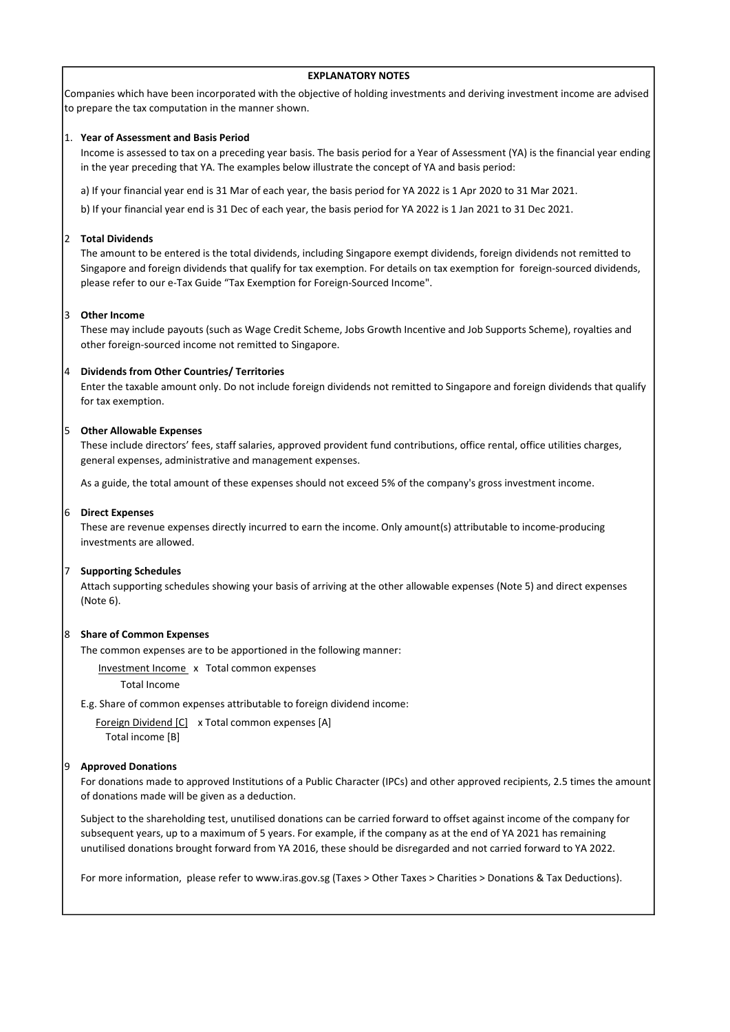## EXPLANATORY NOTES

Companies which have been incorporated with the objective of holding investments and deriving investment income are advised to prepare the tax computation in the manner shown.

## 1. Year of Assessment and Basis Period

Income is assessed to tax on a preceding year basis. The basis period for a Year of Assessment (YA) is the financial year ending in the year preceding that YA. The examples below illustrate the concept of YA and basis period:

a) If your financial year end is 31 Mar of each year, the basis period for YA 2022 is 1 Apr 2020 to 31 Mar 2021.

b) If your financial year end is 31 Dec of each year, the basis period for YA 2022 is 1 Jan 2021 to 31 Dec 2021.

## 2 Total Dividends

The amount to be entered is the total dividends, including Singapore exempt dividends, foreign dividends not remitted to Singapore and foreign dividends that qualify for tax exemption. For details on tax exemption for foreign-sourced dividends, please refer to our e-Tax Guide "Tax Exemption for Foreign-Sourced Income".

#### 3 Other Income

These may include payouts (such as Wage Credit Scheme, Jobs Growth Incentive and Job Supports Scheme), royalties and other foreign-sourced income not remitted to Singapore.

## 4 Dividends from Other Countries/ Territories

Enter the taxable amount only. Do not include foreign dividends not remitted to Singapore and foreign dividends that qualify for tax exemption.

### 5 Other Allowable Expenses

These include directors' fees, staff salaries, approved provident fund contributions, office rental, office utilities charges, general expenses, administrative and management expenses.

As a guide, the total amount of these expenses should not exceed 5% of the company's gross investment income.

#### 6 Direct Expenses

These are revenue expenses directly incurred to earn the income. Only amount(s) attributable to income-producing investments are allowed.

#### 7 Supporting Schedules

Attach supporting schedules showing your basis of arriving at the other allowable expenses (Note 5) and direct expenses (Note 6).

#### 8 Share of Common Expenses

The common expenses are to be apportioned in the following manner:

Investment Income x Total common expenses

Total Income

E.g. Share of common expenses attributable to foreign dividend income:

Foreign Dividend [C] x Total common expenses [A] Total income [B]

## 9 Approved Donations

For donations made to approved Institutions of a Public Character (IPCs) and other approved recipients, 2.5 times the amount of donations made will be given as a deduction.

Subject to the shareholding test, unutilised donations can be carried forward to offset against income of the company for subsequent years, up to a maximum of 5 years. For example, if the company as at the end of YA 2021 has remaining unutilised donations brought forward from YA 2016, these should be disregarded and not carried forward to YA 2022.

For more information, please refer to www.iras.gov.sg (Taxes > Other Taxes > Charities > Donations & Tax Deductions).